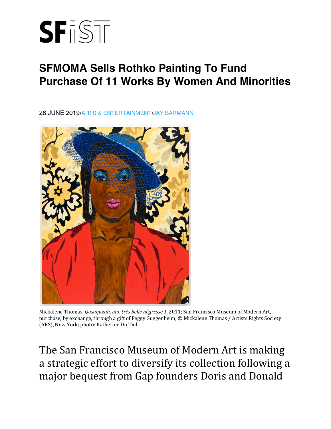

## **SFMOMA Sells Rothko Painting To Fund Purchase Of 11 Works By Women And Minorities**

28 JUNE 2019/ARTS & ENTERTAINMENT/JAY BARMANN



Mickalene Thomas, *Qusuquzah, une très belle négresse 1,* 2011; San Francisco Museum of Modern Art, purchase, by exchange, through a gift of Peggy Guggenheim; © Mickalene Thomas / Artists Rights Society (ARS), New York; photo: Katherine Du Tiel

The San Francisco Museum of Modern Art is making a strategic effort to diversify its collection following a major bequest from Gap founders Doris and Donald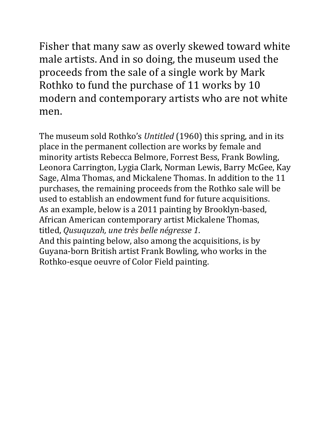Fisher that many saw as overly skewed toward white male artists. And in so doing, the museum used the proceeds from the sale of a single work by Mark Rothko to fund the purchase of 11 works by 10 modern and contemporary artists who are not white men.

The museum sold Rothko's *Untitled* (1960) this spring, and in its place in the permanent collection are works by female and minority artists Rebecca Belmore, Forrest Bess, Frank Bowling, Leonora Carrington, Lygia Clark, Norman Lewis, Barry McGee, Kay Sage, Alma Thomas, and Mickalene Thomas. In addition to the 11 purchases, the remaining proceeds from the Rothko sale will be used to establish an endowment fund for future acquisitions. As an example, below is a 2011 painting by Brooklyn-based, African American contemporary artist Mickalene Thomas, titled, *Qusuquzah, une très belle négresse 1*.

And this painting below, also among the acquisitions, is by Guyana-born British artist Frank Bowling, who works in the Rothko-esque oeuvre of Color Field painting.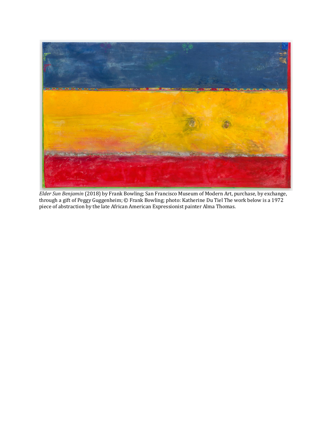

*Elder Sun Benjamin* (2018) by Frank Bowling; San Francisco Museum of Modern Art, purchase, by exchange, through a gift of Peggy Guggenheim; © Frank Bowling; photo: Katherine Du Tiel The work below is a 1972 piece of abstraction by the late African American Expressionist painter Alma Thomas.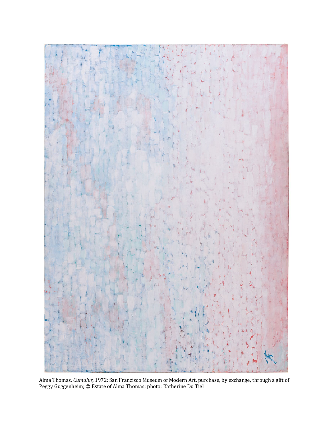

Alma Thomas, *Cumulus,* 1972; San Francisco Museum of Modern Art, purchase, by exchange, through a gift of Peggy Guggenheim; © Estate of Alma Thomas; photo: Katherine Du Tiel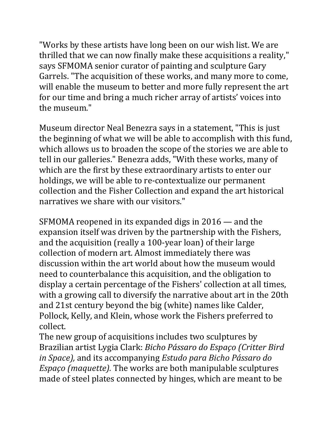"Works by these artists have long been on our wish list. We are thrilled that we can now finally make these acquisitions a reality," says SFMOMA senior curator of painting and sculpture Gary Garrels. "The acquisition of these works, and many more to come, will enable the museum to better and more fully represent the art for our time and bring a much richer array of artists' voices into the museum."

Museum director Neal Benezra says in a statement, "This is just the beginning of what we will be able to accomplish with this fund, which allows us to broaden the scope of the stories we are able to tell in our galleries." Benezra adds, "With these works, many of which are the first by these extraordinary artists to enter our holdings, we will be able to re-contextualize our permanent collection and the Fisher Collection and expand the art historical narratives we share with our visitors."

SFMOMA reopened in its expanded digs in  $2016$  — and the expansion itself was driven by the partnership with the Fishers, and the acquisition (really a 100-year loan) of their large collection of modern art. Almost immediately there was discussion within the art world about how the museum would need to counterbalance this acquisition, and the obligation to display a certain percentage of the Fishers' collection at all times, with a growing call to diversify the narrative about art in the 20th and 21st century beyond the big (white) names like Calder, Pollock, Kelly, and Klein, whose work the Fishers preferred to collect.

The new group of acquisitions includes two sculptures by Brazilian artist Lygia Clark: *Bicho Pássaro do Espaço (Critter Bird in Space),* and its accompanying *Estudo para Bicho Pássaro do Espaço (maquette)*. The works are both manipulable sculptures made of steel plates connected by hinges, which are meant to be